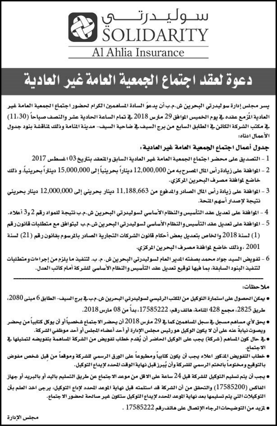

# دعوة لعقد اجتماع الجمعية العامة غير العادية

يسر مجلس إدارة سوليدرتي البحرين ش.م.ب أن يدعوَ السادة الساهمين الكرام لحضور اجتماع الجمعية العامة غير العادية الْزُمع عقده في يوم الخميس الموافق 29 مارس 2018 في تمام الساعة الحادية عشر والنصف صباحاً (11،30) في مكتب الشركة الكائن في الطابق السابع من برج السيف في ضاحية السيف- مدينة المنامة وذلك لمناقشة بنود جدول الأعمال ادناه:

جدول أعمال اجتماع الجمعية العامة غير العادية:

- 1 التصديق على محضر اجتماع الجمعية العامة غير العادية السابق والثعقد بتاريخ 03 اغسطس 2017
- 2 الموافقة على زيادة رأس المال المصرح به من 12,000,000 ديناراً بحرينياً إلى 15,000,000 ديناراً بحرينياً، و ذلك خاضع لموافقة مصرف البحرين الركزي.
- 3 الموافقة على زيادة رأس المال الصادر والمدفوع من 11,188,663 دينار بحريني إلى 12,000,000 دينار بحريني نتيجة لإصدار أسهم المحة.
- 4 الوافقة على تعديل عقد التأسيس والنظام الأساسي لسوليدرتي البحرين ش.م.ب نتيجة للمواد رقم 2 و3 أعلاه.
- 5 المواهقة على تعديل عقد التأسيس والنظام الأساسي لسوليدرتي البحرين ش.م.ب ليتواهق مع متطلبات قانون رقم
- (1) لسنة 2018 والخاص بتعديل بعض أحكام قانون الشركات التجارية الصادر بالمرسوم بقانون رقم (21) لسنة 2001 ، وذلك خاضع لموافقة مصرف البحرين المركزي.
- 6 تفويض السيد جواد محمد بصفته المدير العام لسوليدرتي البحرين ش. م. ب. لتنفيذ ما يلزم من إجراءات ومتطلبات<br>لتنفيذ البنود السابقة، بما فيها توقيع تعديل عقد التأسيس والنظام الأساسي للشركة أمام كاتب العدل.

ملاحظات:

- يمكن الحصول على استمارة التوكيل من الكتب الرئيسي لسوليدرتي البحرين ش.م.ب.⊈ برج السيف- الطابق 6 مبنى 2080، طريق 2825، مجمع 428 المنامة، هاتف رقم، 17585222، بدأ من 08 مارس 2018.
- يحق لأي مساهم مسجل ⊈سجل الساهمين كما ⊈ 29 مارس 2018 أن يحضر الاجتماع شخصياً أو أن يوكل كتابياً من يحضر ويصوت نيابةً عنه على أن لا يكون الوكيل هو رئيس مجلس الإدارة أو أحد أعضاء الجلس أو أحد موظفي الشركة.
- **e \_2** حال كون الساهم (شركة) يجب على الوكيل الحاضر أن يُقدم خطاب تفويض من الشركة الساهمة بتفويضه لتمثيلها <u>.4</u> الاجتماع.
- خطاب التفويض المنكور اعلاه يجب أن يكون كتابياً ومطبوعاً على الورق الرسمي للشركة وموقعاً من قبل شخص مفوض بالتوقيع ومختوماً بالختم الرسمي للشركة وأن يُبرز قبل نهاية الوقت الحدد لإيداع التوكيل.
- يجب أن يتم تسليم التوكيل للشركة قبل 24 ساعة على الاقل من موعد الاجتماع عن طريق التسليم باليد أو بالبريد أو جهاز الفاكس (17585200) والتحقق من أن الشركة قد استلمته قبل نهاية الموعد الحدد لإداع التوكيل، يرجى اخد العلم بأن التوكيلات التي يتم تسليمها بعد نهاية الموعد الحدد لإيداع التوكيل ستكون غير صالحة لحضور الاجتماع.
	- نزيد من التوضيحات الرجاء الإتصال على هاتف رقم 17585222 .

مجلس الإدارة